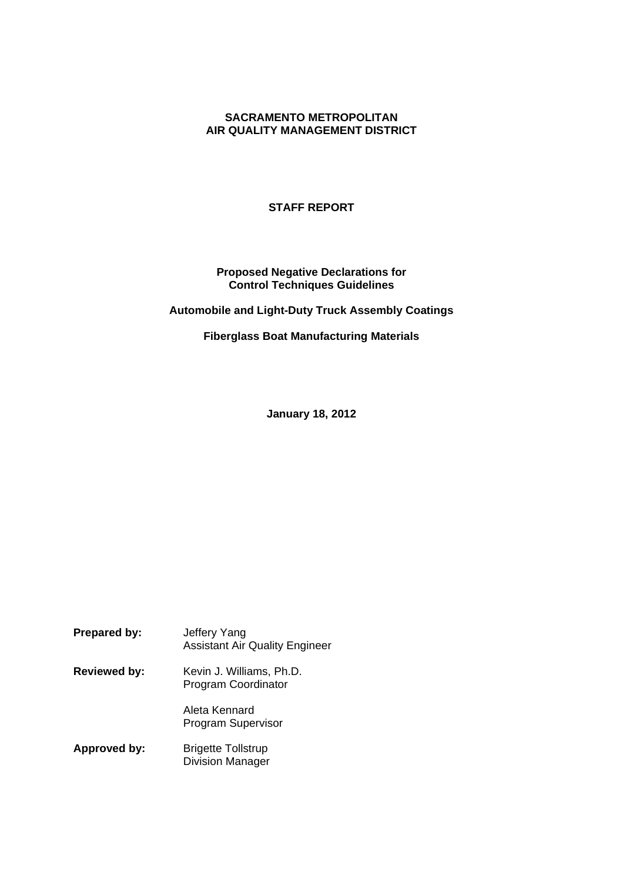# **SACRAMENTO METROPOLITAN AIR QUALITY MANAGEMENT DISTRICT**

## **STAFF REPORT**

# **Proposed Negative Declarations for Control Techniques Guidelines**

**Automobile and Light-Duty Truck Assembly Coatings**

**Fiberglass Boat Manufacturing Materials**

**January 18, 2012**

| <b>Prepared by:</b> | Jeffery Yang<br><b>Assistant Air Quality Engineer</b>  |
|---------------------|--------------------------------------------------------|
| <b>Reviewed by:</b> | Kevin J. Williams, Ph.D.<br><b>Program Coordinator</b> |
|                     | Aleta Kennard<br><b>Program Supervisor</b>             |
| Approved by:        | <b>Brigette Tollstrup</b><br><b>Division Manager</b>   |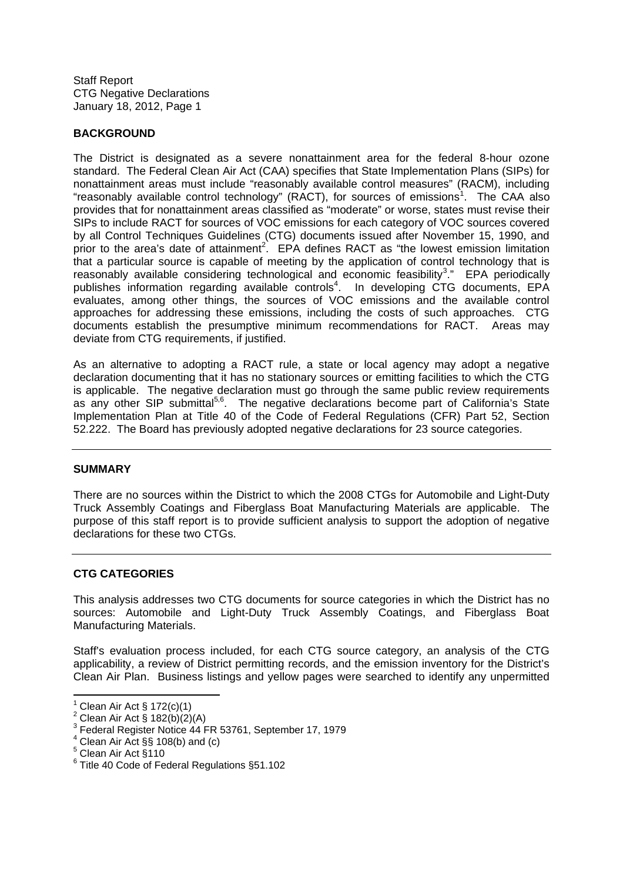### **BACKGROUND**

The District is designated as a severe nonattainment area for the federal 8-hour ozone standard. The Federal Clean Air Act (CAA) specifies that State Implementation Plans (SIPs) for nonattainment areas must include "reasonably available control measures" (RACM), including "reasonably available control technology" (RACT), for sources of emissions<sup>1</sup>. The CAA also provides that for nonattainment areas classified as "moderate" or worse, states must revise their SIPs to include RACT for sources of VOC emissions for each category of VOC sources covered by all Control Techniques Guidelines (CTG) documents issued after November 15, 1990, and prior to the area's date of attainment<sup>2</sup>. EPA defines RACT as "the lowest emission limitation that a particular source is capable of meeting by the application of control technology that is reasonably available considering technological and economic feasibility<sup>3</sup>." EPA periodically publishes information regarding available controls<sup>4</sup>. In developing CTG documents, EPA evaluates, among other things, the sources of VOC emissions and the available control approaches for addressing these emissions, including the costs of such approaches. CTG documents establish the presumptive minimum recommendations for RACT. Areas may deviate from CTG requirements, if justified.

As an alternative to adopting a RACT rule, a state or local agency may adopt a negative declaration documenting that it has no stationary sources or emitting facilities to which the CTG is applicable. The negative declaration must go through the same public review requirements as any other SIP submittal<sup>5,6</sup>. The negative declarations become part of California's State Implementation Plan at Title 40 of the Code of Federal Regulations (CFR) Part 52, Section 52.222. The Board has previously adopted negative declarations for 23 source categories.

#### **SUMMARY**

There are no sources within the District to which the 2008 CTGs for Automobile and Light-Duty Truck Assembly Coatings and Fiberglass Boat Manufacturing Materials are applicable. The purpose of this staff report is to provide sufficient analysis to support the adoption of negative declarations for these two CTGs.

#### **CTG CATEGORIES**

This analysis addresses two CTG documents for source categories in which the District has no sources: Automobile and Light-Duty Truck Assembly Coatings, and Fiberglass Boat Manufacturing Materials.

Staff's evaluation process included, for each CTG source category, an analysis of the CTG applicability, a review of District permitting records, and the emission inventory for the District's Clean Air Plan. Business listings and yellow pages were searched to identify any unpermitted

 $1$  Clean Air Act § 172(c)(1)

<sup>&</sup>lt;sup>2</sup> Clean Air Act § 182(b)(2)(A)

Federal Register Notice 44 FR 53761, September 17, 1979

Clean Air Act §§ 108(b) and (c)

<sup>5</sup> Clean Air Act §110

<sup>6</sup> Title 40 Code of Federal Regulations §51.102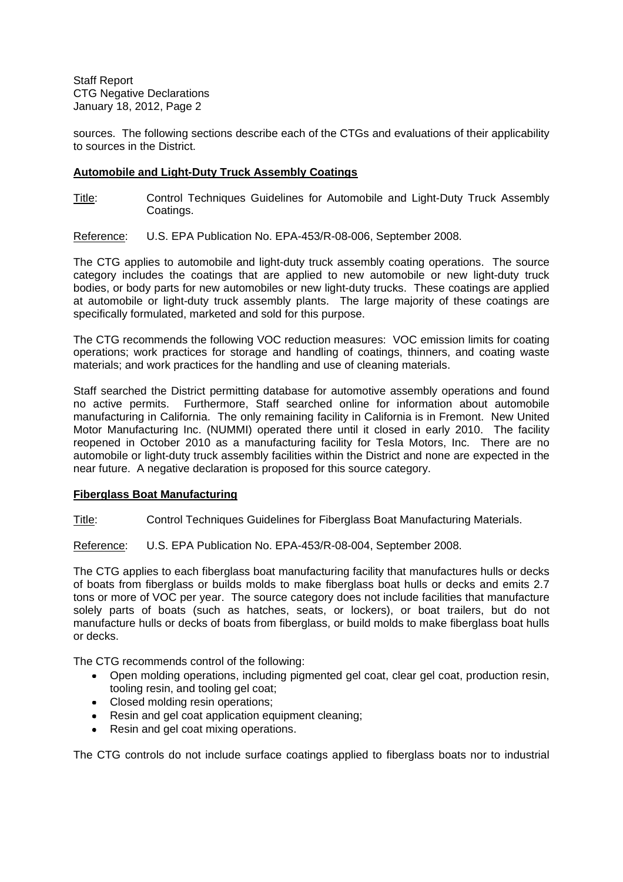sources. The following sections describe each of the CTGs and evaluations of their applicability to sources in the District.

## **Automobile and Light-Duty Truck Assembly Coatings**

Title: Control Techniques Guidelines for Automobile and Light-Duty Truck Assembly Coatings.

Reference: U.S. EPA Publication No. EPA-453/R-08-006, September 2008.

The CTG applies to automobile and light-duty truck assembly coating operations. The source category includes the coatings that are applied to new automobile or new light-duty truck bodies, or body parts for new automobiles or new light-duty trucks. These coatings are applied at automobile or light-duty truck assembly plants. The large majority of these coatings are specifically formulated, marketed and sold for this purpose.

The CTG recommends the following VOC reduction measures: VOC emission limits for coating operations; work practices for storage and handling of coatings, thinners, and coating waste materials; and work practices for the handling and use of cleaning materials.

Staff searched the District permitting database for automotive assembly operations and found no active permits. Furthermore, Staff searched online for information about automobile manufacturing in California. The only remaining facility in California is in Fremont. New United Motor Manufacturing Inc. (NUMMI) operated there until it closed in early 2010. The facility reopened in October 2010 as a manufacturing facility for Tesla Motors, Inc. There are no automobile or light-duty truck assembly facilities within the District and none are expected in the near future. A negative declaration is proposed for this source category.

#### **Fiberglass Boat Manufacturing**

Title: Control Techniques Guidelines for Fiberglass Boat Manufacturing Materials.

Reference: U.S. EPA Publication No. EPA-453/R-08-004, September 2008.

The CTG applies to each fiberglass boat manufacturing facility that manufactures hulls or decks of boats from fiberglass or builds molds to make fiberglass boat hulls or decks and emits 2.7 tons or more of VOC per year. The source category does not include facilities that manufacture solely parts of boats (such as hatches, seats, or lockers), or boat trailers, but do not manufacture hulls or decks of boats from fiberglass, or build molds to make fiberglass boat hulls or decks.

The CTG recommends control of the following:

- Open molding operations, including pigmented gel coat, clear gel coat, production resin, tooling resin, and tooling gel coat;
- Closed molding resin operations;
- Resin and gel coat application equipment cleaning;
- Resin and gel coat mixing operations.

The CTG controls do not include surface coatings applied to fiberglass boats nor to industrial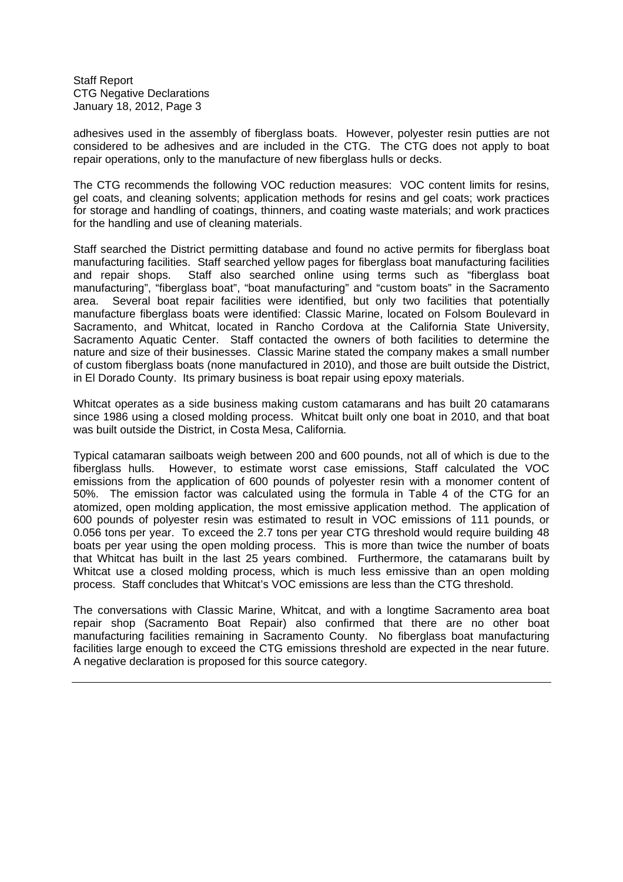adhesives used in the assembly of fiberglass boats. However, polyester resin putties are not considered to be adhesives and are included in the CTG. The CTG does not apply to boat repair operations, only to the manufacture of new fiberglass hulls or decks.

The CTG recommends the following VOC reduction measures: VOC content limits for resins, gel coats, and cleaning solvents; application methods for resins and gel coats; work practices for storage and handling of coatings, thinners, and coating waste materials; and work practices for the handling and use of cleaning materials.

Staff searched the District permitting database and found no active permits for fiberglass boat manufacturing facilities. Staff searched yellow pages for fiberglass boat manufacturing facilities and repair shops. Staff also searched online using terms such as "fiberglass boat manufacturing", "fiberglass boat", "boat manufacturing" and "custom boats" in the Sacramento area. Several boat repair facilities were identified, but only two facilities that potentially manufacture fiberglass boats were identified: Classic Marine, located on Folsom Boulevard in Sacramento, and Whitcat, located in Rancho Cordova at the California State University, Sacramento Aquatic Center. Staff contacted the owners of both facilities to determine the nature and size of their businesses. Classic Marine stated the company makes a small number of custom fiberglass boats (none manufactured in 2010), and those are built outside the District, in El Dorado County. Its primary business is boat repair using epoxy materials.

Whitcat operates as a side business making custom catamarans and has built 20 catamarans since 1986 using a closed molding process. Whitcat built only one boat in 2010, and that boat was built outside the District, in Costa Mesa, California.

Typical catamaran sailboats weigh between 200 and 600 pounds, not all of which is due to the fiberglass hulls. However, to estimate worst case emissions, Staff calculated the VOC emissions from the application of 600 pounds of polyester resin with a monomer content of 50%. The emission factor was calculated using the formula in Table 4 of the CTG for an atomized, open molding application, the most emissive application method. The application of 600 pounds of polyester resin was estimated to result in VOC emissions of 111 pounds, or 0.056 tons per year. To exceed the 2.7 tons per year CTG threshold would require building 48 boats per year using the open molding process. This is more than twice the number of boats that Whitcat has built in the last 25 years combined. Furthermore, the catamarans built by Whitcat use a closed molding process, which is much less emissive than an open molding process. Staff concludes that Whitcat's VOC emissions are less than the CTG threshold.

The conversations with Classic Marine, Whitcat, and with a longtime Sacramento area boat repair shop (Sacramento Boat Repair) also confirmed that there are no other boat manufacturing facilities remaining in Sacramento County. No fiberglass boat manufacturing facilities large enough to exceed the CTG emissions threshold are expected in the near future. A negative declaration is proposed for this source category.